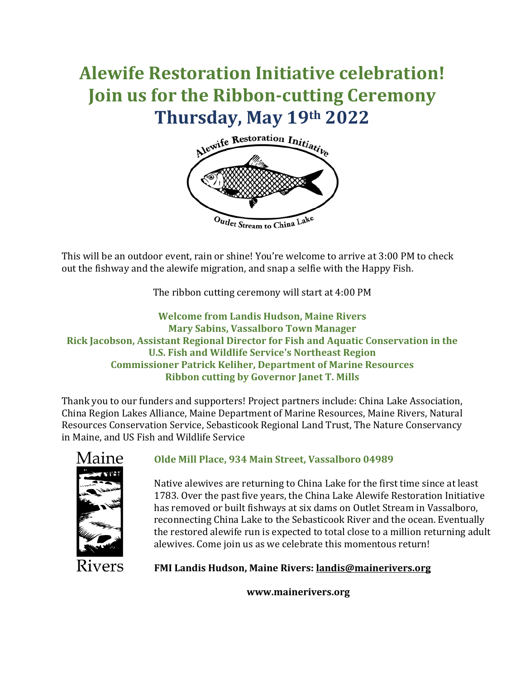# **Alewife Restoration Initiative celebration! Join us for the Ribbon-cutting Ceremony Thursday, May 19th 2022**



This will be an outdoor event, rain or shine! You're welcome to arrive at 3:00 PM to check out the fishway and the alewife migration, and snap a selfie with the Happy Fish.

The ribbon cutting ceremony will start at 4:00 PM

**Welcome from Landis Hudson, Maine Rivers Mary Sabins, Vassalboro Town Manager Rick Jacobson, Assistant Regional Director for Fish and Aquatic Conservation in the U.S. Fish and Wildlife Service's Northeast Region Commissioner Patrick Keliher, Department of Marine Resources Ribbon cutting by Governor Janet T. Mills**

Thank you to our funders and supporters! Project partners include: China Lake Association, China Region Lakes Alliance, Maine Department of Marine Resources, Maine Rivers, Natural Resources Conservation Service, Sebasticook Regional Land Trust, The Nature Conservancy in Maine, and US Fish and Wildlife Service



## **Olde Mill Place, 934 Main Street, Vassalboro 04989**

Native alewives are returning to China Lake for the first time since at least 1783. Over the past five years, the China Lake Alewife Restoration Initiative has removed or built fishways at six dams on Outlet Stream in Vassalboro, reconnecting China Lake to the Sebasticook River and the ocean. Eventually the restored alewife run is expected to total close to a million returning adult alewives. Come join us as we celebrate this momentous return!

Rivers

**FMI Landis Hudson, Maine Rivers: [landis@mainerivers.org](mailto:landis@mainerivers.org)**

**www.mainerivers.org**